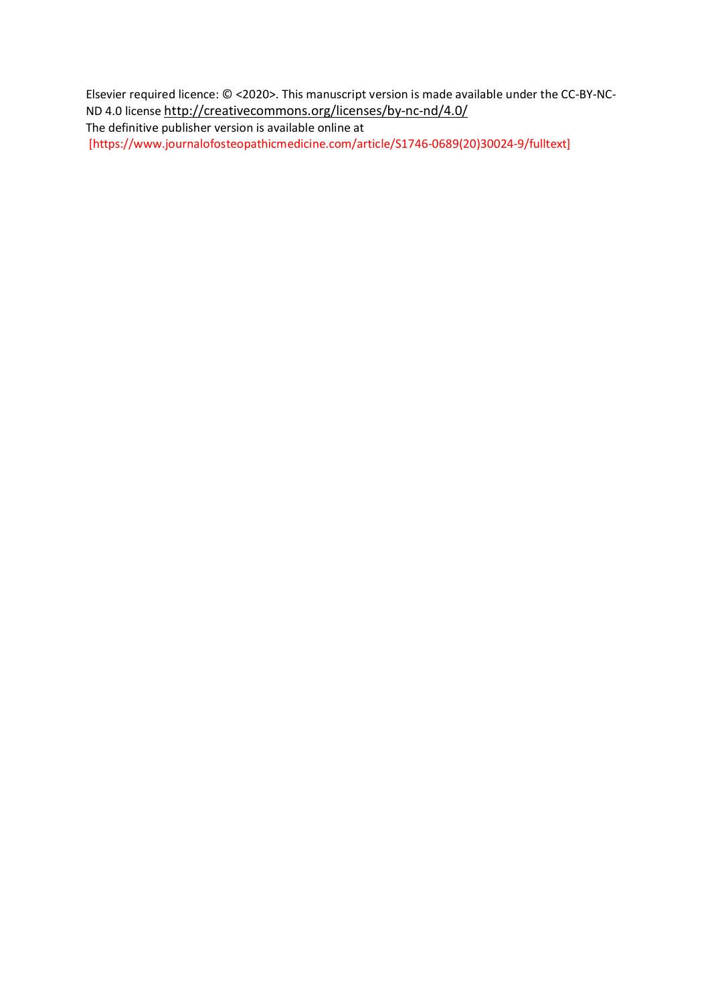Elsevier required licence: © <2020>. This manuscript version is made available under the CC-BY-NC-ND 4.0 license<http://creativecommons.org/licenses/by-nc-nd/4.0/>

The definitive publisher version is available online at [https://www.journalofosteopathicmedicine.com/article/S1746-0689(20)30024-9/fulltext]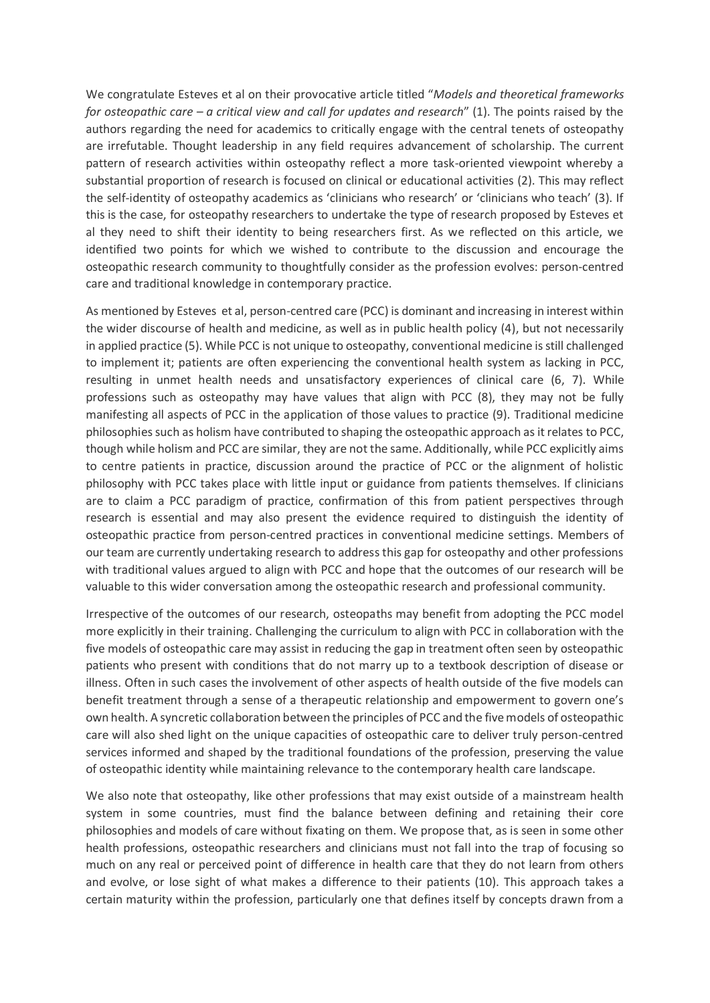We congratulate Esteves et al on their provocative article titled "*Models and theoretical frameworks for osteopathic care – a critical view and call for updates and research*" (1). The points raised by the authors regarding the need for academics to critically engage with the central tenets of osteopathy are irrefutable. Thought leadership in any field requires advancement of scholarship. The current pattern of research activities within osteopathy reflect a more task-oriented viewpoint whereby a substantial proportion of research is focused on clinical or educational activities (2). This may reflect the self-identity of osteopathy academics as 'clinicians who research' or 'clinicians who teach' (3). If this is the case, for osteopathy researchers to undertake the type of research proposed by Esteves et al they need to shift their identity to being researchers first. As we reflected on this article, we identified two points for which we wished to contribute to the discussion and encourage the osteopathic research community to thoughtfully consider as the profession evolves: person-centred care and traditional knowledge in contemporary practice.

As mentioned by Esteves et al, person-centred care (PCC) is dominant and increasing in interest within the wider discourse of health and medicine, as well as in public health policy (4), but not necessarily in applied practice (5). While PCC is not unique to osteopathy, conventional medicine is still challenged to implement it; patients are often experiencing the conventional health system as lacking in PCC, resulting in unmet health needs and unsatisfactory experiences of clinical care (6, 7). While professions such as osteopathy may have values that align with PCC (8), they may not be fully manifesting all aspects of PCC in the application of those values to practice (9). Traditional medicine philosophies such as holism have contributed to shaping the osteopathic approach as it relates to PCC, though while holism and PCC are similar, they are not the same. Additionally, while PCC explicitly aims to centre patients in practice, discussion around the practice of PCC or the alignment of holistic philosophy with PCC takes place with little input or guidance from patients themselves. If clinicians are to claim a PCC paradigm of practice, confirmation of this from patient perspectives through research is essential and may also present the evidence required to distinguish the identity of osteopathic practice from person-centred practices in conventional medicine settings. Members of our team are currently undertaking research to address this gap for osteopathy and other professions with traditional values argued to align with PCC and hope that the outcomes of our research will be valuable to this wider conversation among the osteopathic research and professional community.

Irrespective of the outcomes of our research, osteopaths may benefit from adopting the PCC model more explicitly in their training. Challenging the curriculum to align with PCC in collaboration with the five models of osteopathic care may assist in reducing the gap in treatment often seen by osteopathic patients who present with conditions that do not marry up to a textbook description of disease or illness. Often in such cases the involvement of other aspects of health outside of the five models can benefit treatment through a sense of a therapeutic relationship and empowerment to govern one's own health. A syncretic collaboration between the principles of PCC and the five models of osteopathic care will also shed light on the unique capacities of osteopathic care to deliver truly person-centred services informed and shaped by the traditional foundations of the profession, preserving the value of osteopathic identity while maintaining relevance to the contemporary health care landscape.

We also note that osteopathy, like other professions that may exist outside of a mainstream health system in some countries, must find the balance between defining and retaining their core philosophies and models of care without fixating on them. We propose that, as is seen in some other health professions, osteopathic researchers and clinicians must not fall into the trap of focusing so much on any real or perceived point of difference in health care that they do not learn from others and evolve, or lose sight of what makes a difference to their patients (10). This approach takes a certain maturity within the profession, particularly one that defines itself by concepts drawn from a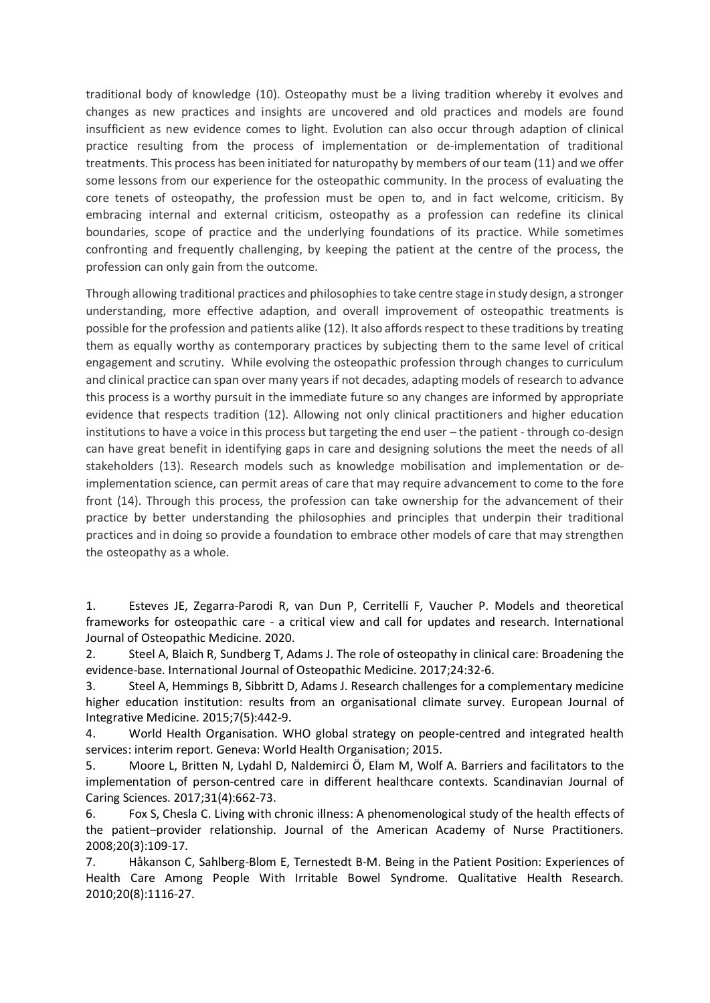traditional body of knowledge (10). Osteopathy must be a living tradition whereby it evolves and changes as new practices and insights are uncovered and old practices and models are found insufficient as new evidence comes to light. Evolution can also occur through adaption of clinical practice resulting from the process of implementation or de-implementation of traditional treatments. This process has been initiated for naturopathy by members of our team (11) and we offer some lessons from our experience for the osteopathic community. In the process of evaluating the core tenets of osteopathy, the profession must be open to, and in fact welcome, criticism. By embracing internal and external criticism, osteopathy as a profession can redefine its clinical boundaries, scope of practice and the underlying foundations of its practice. While sometimes confronting and frequently challenging, by keeping the patient at the centre of the process, the profession can only gain from the outcome.

Through allowing traditional practices and philosophies to take centre stage in study design, a stronger understanding, more effective adaption, and overall improvement of osteopathic treatments is possible for the profession and patients alike (12). It also affords respect to these traditions by treating them as equally worthy as contemporary practices by subjecting them to the same level of critical engagement and scrutiny. While evolving the osteopathic profession through changes to curriculum and clinical practice can span over many years if not decades, adapting models of research to advance this process is a worthy pursuit in the immediate future so any changes are informed by appropriate evidence that respects tradition (12). Allowing not only clinical practitioners and higher education institutions to have a voice in this process but targeting the end user – the patient - through co-design can have great benefit in identifying gaps in care and designing solutions the meet the needs of all stakeholders (13). Research models such as knowledge mobilisation and implementation or deimplementation science, can permit areas of care that may require advancement to come to the fore front (14). Through this process, the profession can take ownership for the advancement of their practice by better understanding the philosophies and principles that underpin their traditional practices and in doing so provide a foundation to embrace other models of care that may strengthen the osteopathy as a whole.

1. Esteves JE, Zegarra-Parodi R, van Dun P, Cerritelli F, Vaucher P. Models and theoretical frameworks for osteopathic care - a critical view and call for updates and research. International Journal of Osteopathic Medicine. 2020.

2. Steel A, Blaich R, Sundberg T, Adams J. The role of osteopathy in clinical care: Broadening the evidence-base. International Journal of Osteopathic Medicine. 2017;24:32-6.

3. Steel A, Hemmings B, Sibbritt D, Adams J. Research challenges for a complementary medicine higher education institution: results from an organisational climate survey. European Journal of Integrative Medicine. 2015;7(5):442-9.

4. World Health Organisation. WHO global strategy on people-centred and integrated health services: interim report. Geneva: World Health Organisation; 2015.

5. Moore L, Britten N, Lydahl D, Naldemirci Ö, Elam M, Wolf A. Barriers and facilitators to the implementation of person-centred care in different healthcare contexts. Scandinavian Journal of Caring Sciences. 2017;31(4):662-73.

6. Fox S, Chesla C. Living with chronic illness: A phenomenological study of the health effects of the patient–provider relationship. Journal of the American Academy of Nurse Practitioners. 2008;20(3):109-17.

7. Håkanson C, Sahlberg-Blom E, Ternestedt B-M. Being in the Patient Position: Experiences of Health Care Among People With Irritable Bowel Syndrome. Qualitative Health Research. 2010;20(8):1116-27.